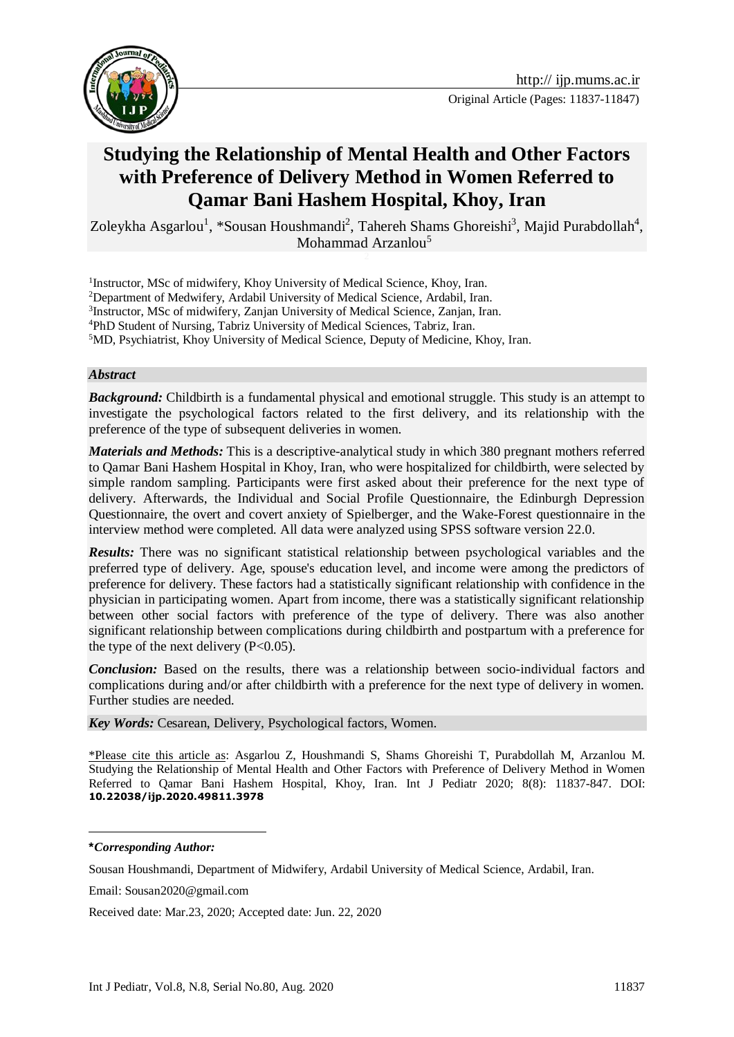



# **Studying the Relationship of Mental Health and Other Factors with Preference of Delivery Method in Women Referred to Qamar Bani Hashem Hospital, Khoy, Iran**

Zoleykha Asgarlou<sup>1</sup>, \*Sousan Houshmandi<sup>2</sup>, Tahereh Shams Ghoreishi<sup>3</sup>, Majid Purabdollah<sup>4</sup>, Mohammad Arzanlou<sup>5</sup>

<sup>1</sup>Instructor, MSc of midwifery, Khoy University of Medical Science, Khoy, Iran. <sup>2</sup>Department of Medwifery, Ardabil University of Medical Science, Ardabil, Iran. <sup>3</sup>Instructor, MSc of midwifery, Zanjan University of Medical Science, Zanjan, Iran. <sup>4</sup>PhD Student of Nursing, Tabriz University of Medical Sciences, Tabriz, Iran. <sup>5</sup>MD, Psychiatrist, Khoy University of Medical Science, Deputy of Medicine, Khoy, Iran.

#### *Abstract*

*Background:* Childbirth is a fundamental physical and emotional struggle. This study is an attempt to investigate the psychological factors related to the first delivery, and its relationship with the preference of the type of subsequent deliveries in women.

*Materials and Methods:* This is a descriptive-analytical study in which 380 pregnant mothers referred to Qamar Bani Hashem Hospital in Khoy, Iran, who were hospitalized for childbirth, were selected by simple random sampling. Participants were first asked about their preference for the next type of delivery. Afterwards, the Individual and Social Profile Questionnaire, the Edinburgh Depression Questionnaire, the overt and covert anxiety of Spielberger, and the Wake-Forest questionnaire in the interview method were completed. All data were analyzed using SPSS software version 22.0.

*Results:* There was no significant statistical relationship between psychological variables and the preferred type of delivery. Age, spouse's education level, and income were among the predictors of preference for delivery. These factors had a statistically significant relationship with confidence in the physician in participating women. Apart from income, there was a statistically significant relationship between other social factors with preference of the type of delivery. There was also another significant relationship between complications during childbirth and postpartum with a preference for the type of the next delivery  $(P<0.05)$ .

**Conclusion:** Based on the results, there was a relationship between socio-individual factors and complications during and/or after childbirth with a preference for the next type of delivery in women. Further studies are needed.

*Key Words:* Cesarean, Delivery, Psychological factors, Women.

\*Please cite this article as: Asgarlou Z, Houshmandi S, Shams Ghoreishi T, Purabdollah M, Arzanlou M. Studying the Relationship of Mental Health and Other Factors with Preference of Delivery Method in Women Referred to Qamar Bani Hashem Hospital, Khoy, Iran. Int J Pediatr 2020; 8(8): 11837-847. DOI: **10.22038/ijp.2020.49811.3978**

<u>.</u>

Received date: Mar.23, 2020; Accepted date: Jun. 22, 2020

**<sup>\*</sup>***Corresponding Author:*

Sousan Houshmandi, Department of Midwifery, Ardabil University of Medical Science, Ardabil, Iran.

Email: Sousan2020@gmail.com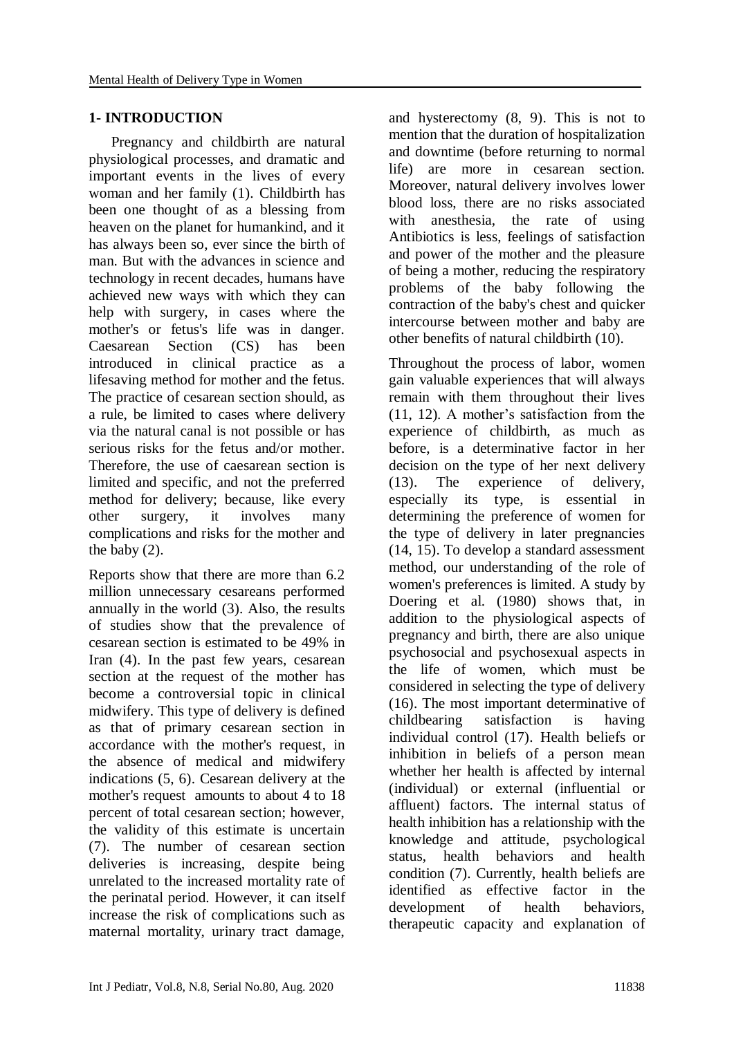# **1- INTRODUCTION**

 Pregnancy and childbirth are natural physiological processes, and dramatic and important events in the lives of every woman and her family (1). Childbirth has been one thought of as a blessing from heaven on the planet for humankind, and it has always been so, ever since the birth of man. But with the advances in science and technology in recent decades, humans have achieved new ways with which they can help with surgery, in cases where the mother's or fetus's life was in danger. Caesarean Section (CS) has been introduced in clinical practice as a lifesaving method for mother and the fetus. The practice of cesarean section should, as a rule, be limited to cases where delivery via the natural canal is not possible or has serious risks for the fetus and/or mother. Therefore, the use of caesarean section is limited and specific, and not the preferred method for delivery; because, like every other surgery, it involves many complications and risks for the mother and the baby (2).

Reports show that there are more than 6.2 million unnecessary cesareans performed annually in the world (3). Also, the results of studies show that the prevalence of cesarean section is estimated to be 49% in Iran (4). In the past few years, cesarean section at the request of the mother has become a controversial topic in clinical midwifery. This type of delivery is defined as that of primary cesarean section in accordance with the mother's request, in the absence of medical and midwifery indications (5, 6). Cesarean delivery at the mother's request amounts to about 4 to 18 percent of total cesarean section; however, the validity of this estimate is uncertain (7). The number of cesarean section deliveries is increasing, despite being unrelated to the increased mortality rate of the perinatal period. However, it can itself increase the risk of complications such as maternal mortality, urinary tract damage, and hysterectomy (8, 9). This is not to mention that the duration of hospitalization and downtime (before returning to normal life) are more in cesarean section. Moreover, natural delivery involves lower blood loss, there are no risks associated with anesthesia, the rate of using Antibiotics is less, feelings of satisfaction and power of the mother and the pleasure of being a mother, reducing the respiratory problems of the baby following the contraction of the baby's chest and quicker intercourse between mother and baby are other benefits of natural childbirth (10).

Throughout the process of labor, women gain valuable experiences that will always remain with them throughout their lives (11, 12). A mother's satisfaction from the experience of childbirth, as much as before, is a determinative factor in her decision on the type of her next delivery (13). The experience of delivery, especially its type, is essential in determining the preference of women for the type of delivery in later pregnancies (14, 15). To develop a standard assessment method, our understanding of the role of women's preferences is limited. A study by Doering et al. (1980) shows that, in addition to the physiological aspects of pregnancy and birth, there are also unique psychosocial and psychosexual aspects in the life of women, which must be considered in selecting the type of delivery (16). The most important determinative of childbearing satisfaction is having individual control (17). Health beliefs or inhibition in beliefs of a person mean whether her health is affected by internal (individual) or external (influential or affluent) factors. The internal status of health inhibition has a relationship with the knowledge and attitude, psychological status, health behaviors and health condition (7). Currently, health beliefs are identified as effective factor in the development of health behaviors, therapeutic capacity and explanation of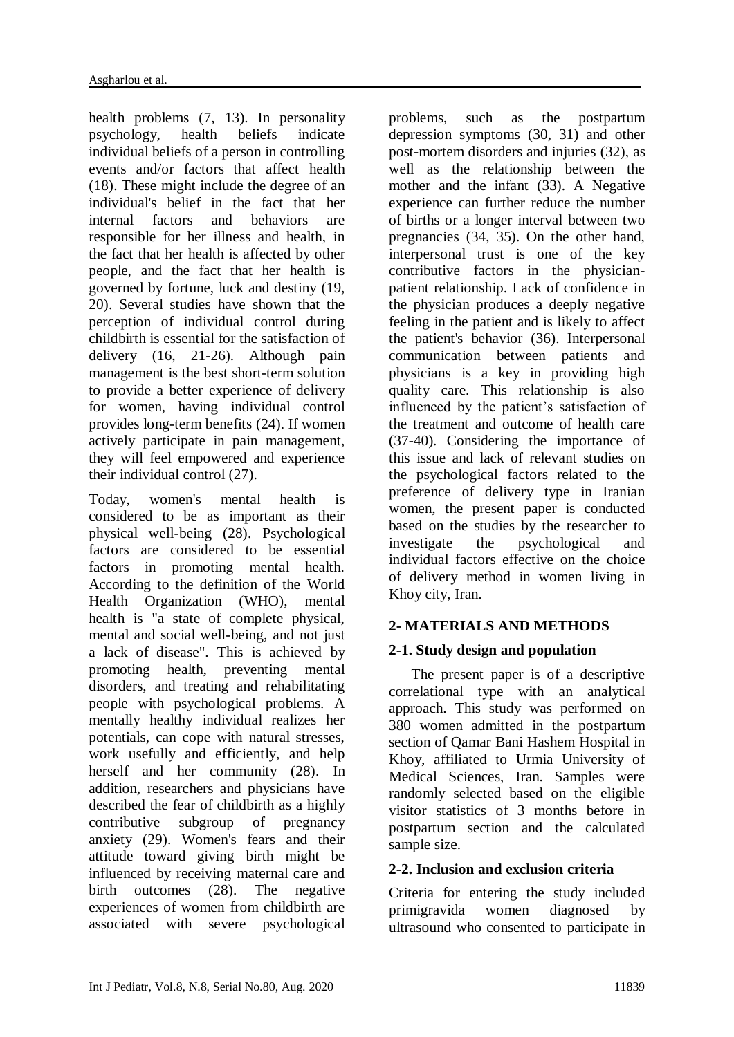health problems (7, 13). In personality psychology, health beliefs indicate individual beliefs of a person in controlling events and/or factors that affect health (18). These might include the degree of an individual's belief in the fact that her internal factors and behaviors are responsible for her illness and health, in the fact that her health is affected by other people, and the fact that her health is governed by fortune, luck and destiny (19, 20). Several studies have shown that the perception of individual control during childbirth is essential for the satisfaction of delivery (16, 21-26). Although pain management is the best short-term solution to provide a better experience of delivery for women, having individual control provides long-term benefits (24). If women actively participate in pain management, they will feel empowered and experience their individual control (27).

Today, women's mental health is considered to be as important as their physical well-being (28). Psychological factors are considered to be essential factors in promoting mental health. According to the definition of the World Health Organization (WHO), mental health is "a state of complete physical, mental and social well-being, and not just a lack of disease". This is achieved by promoting health, preventing mental disorders, and treating and rehabilitating people with psychological problems. A mentally healthy individual realizes her potentials, can cope with natural stresses, work usefully and efficiently, and help herself and her community (28). In addition, researchers and physicians have described the fear of childbirth as a highly contributive subgroup of pregnancy anxiety (29). Women's fears and their attitude toward giving birth might be influenced by receiving maternal care and birth outcomes (28). The negative experiences of women from childbirth are associated with severe psychological

problems, such as the postpartum depression symptoms (30, 31) and other post-mortem disorders and injuries (32), as well as the relationship between the mother and the infant (33). A Negative experience can further reduce the number of births or a longer interval between two pregnancies (34, 35). On the other hand, interpersonal trust is one of the key contributive factors in the physicianpatient relationship. Lack of confidence in the physician produces a deeply negative feeling in the patient and is likely to affect the patient's behavior (36). Interpersonal communication between patients and physicians is a key in providing high quality care. This relationship is also influenced by the patient's satisfaction of the treatment and outcome of health care (37-40). Considering the importance of this issue and lack of relevant studies on the psychological factors related to the preference of delivery type in Iranian women, the present paper is conducted based on the studies by the researcher to investigate the psychological and individual factors effective on the choice of delivery method in women living in Khoy city, Iran.

# **2- MATERIALS AND METHODS**

# **2-1. Study design and population**

 The present paper is of a descriptive correlational type with an analytical approach. This study was performed on 380 women admitted in the postpartum section of Qamar Bani Hashem Hospital in Khoy, affiliated to Urmia University of Medical Sciences, Iran. Samples were randomly selected based on the eligible visitor statistics of 3 months before in postpartum section and the calculated sample size.

## **2-2. Inclusion and exclusion criteria**

Criteria for entering the study included primigravida women diagnosed by ultrasound who consented to participate in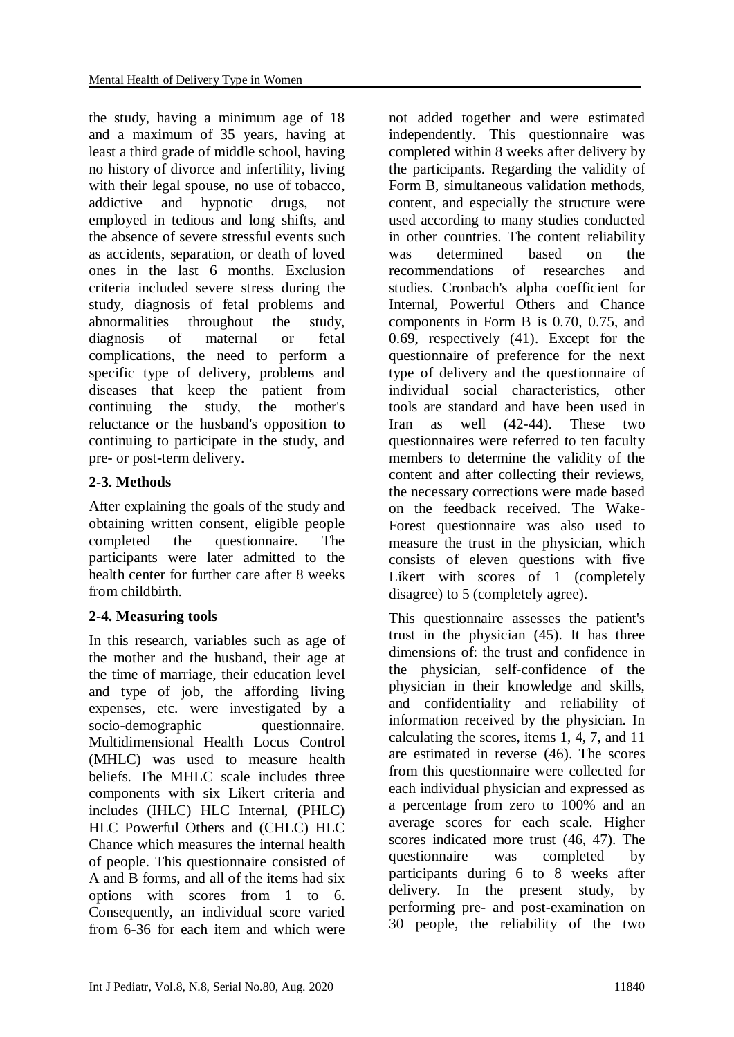the study, having a minimum age of 18 and a maximum of 35 years, having at least a third grade of middle school, having no history of divorce and infertility, living with their legal spouse, no use of tobacco. addictive and hypnotic drugs, not employed in tedious and long shifts, and the absence of severe stressful events such as accidents, separation, or death of loved ones in the last 6 months. Exclusion criteria included severe stress during the study, diagnosis of fetal problems and abnormalities throughout the study, diagnosis of maternal or fetal complications, the need to perform a specific type of delivery, problems and diseases that keep the patient from continuing the study, the mother's reluctance or the husband's opposition to continuing to participate in the study, and pre- or post-term delivery.

# **2-3. Methods**

After explaining the goals of the study and obtaining written consent, eligible people completed the questionnaire. The participants were later admitted to the health center for further care after 8 weeks from childbirth.

# **2-4. Measuring tools**

In this research, variables such as age of the mother and the husband, their age at the time of marriage, their education level and type of job, the affording living expenses, etc. were investigated by a socio-demographic questionnaire. Multidimensional Health Locus Control (MHLC) was used to measure health beliefs. The MHLC scale includes three components with six Likert criteria and includes (IHLC) HLC Internal, (PHLC) HLC Powerful Others and (CHLC) HLC Chance which measures the internal health of people. This questionnaire consisted of A and B forms, and all of the items had six options with scores from 1 to 6. Consequently, an individual score varied from 6-36 for each item and which were

not added together and were estimated independently. This questionnaire was completed within 8 weeks after delivery by the participants. Regarding the validity of Form B, simultaneous validation methods, content, and especially the structure were used according to many studies conducted in other countries. The content reliability was determined based on the recommendations of researches and studies. Cronbach's alpha coefficient for Internal, Powerful Others and Chance components in Form B is 0.70, 0.75, and 0.69, respectively (41). Except for the questionnaire of preference for the next type of delivery and the questionnaire of individual social characteristics, other tools are standard and have been used in Iran as well (42-44). These two questionnaires were referred to ten faculty members to determine the validity of the content and after collecting their reviews, the necessary corrections were made based on the feedback received. The Wake-Forest questionnaire was also used to measure the trust in the physician, which consists of eleven questions with five Likert with scores of 1 (completely disagree) to 5 (completely agree).

This questionnaire assesses the patient's trust in the physician (45). It has three dimensions of: the trust and confidence in the physician, self-confidence of the physician in their knowledge and skills, and confidentiality and reliability of information received by the physician. In calculating the scores, items 1, 4, 7, and 11 are estimated in reverse (46). The scores from this questionnaire were collected for each individual physician and expressed as a percentage from zero to 100% and an average scores for each scale. Higher scores indicated more trust (46, 47). The questionnaire was completed by participants during 6 to 8 weeks after delivery. In the present study, by performing pre- and post-examination on 30 people, the reliability of the two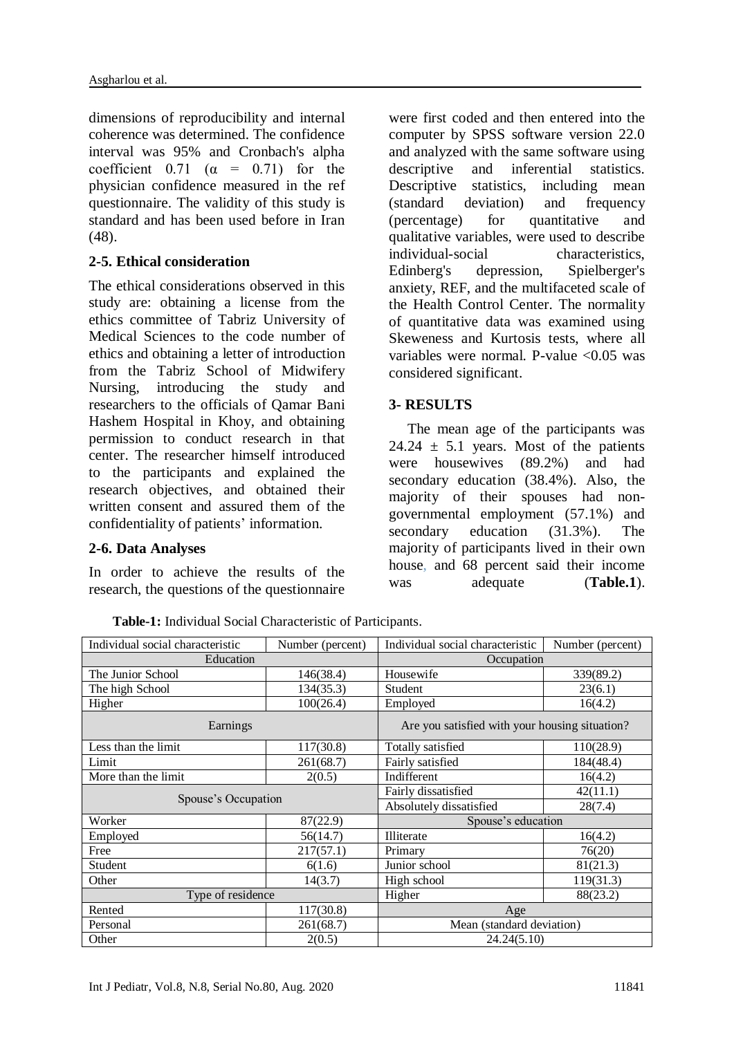dimensions of reproducibility and internal coherence was determined. The confidence interval was 95% and Cronbach's alpha coefficient  $0.71$  ( $\alpha$  = 0.71) for the physician confidence measured in the ref questionnaire. The validity of this study is standard and has been used before in Iran (48).

### **2-5. Ethical consideration**

The ethical considerations observed in this study are: obtaining a license from the ethics committee of Tabriz University of Medical Sciences to the code number of ethics and obtaining a letter of introduction from the Tabriz School of Midwifery Nursing, introducing the study and researchers to the officials of Qamar Bani Hashem Hospital in Khoy, and obtaining permission to conduct research in that center. The researcher himself introduced to the participants and explained the research objectives, and obtained their written consent and assured them of the confidentiality of patients' information.

#### **2-6. Data Analyses**

In order to achieve the results of the research, the questions of the questionnaire were first coded and then entered into the computer by SPSS software version 22.0 and analyzed with the same software using descriptive and inferential statistics. Descriptive statistics, including mean (standard deviation) and frequency (percentage) for quantitative and qualitative variables, were used to describe individual-social characteristics, Edinberg's depression, Spielberger's anxiety, REF, and the multifaceted scale of the Health Control Center. The normality of quantitative data was examined using Skeweness and Kurtosis tests, where all variables were normal. P-value  $\langle 0.05 \rangle$  was considered significant.

#### **3- RESULTS**

 The mean age of the participants was 24.24  $\pm$  5.1 years. Most of the patients were housewives (89.2%) and had secondary education (38.4%). Also, the majority of their spouses had nongovernmental employment (57.1%) and secondary education (31.3%). The majority of participants lived in their own house, and 68 percent said their income was adequate (Table.1).

| Individual social characteristic | Number (percent) | Individual social characteristic<br>Number (percent) |           |  |  |
|----------------------------------|------------------|------------------------------------------------------|-----------|--|--|
| Education                        |                  | Occupation                                           |           |  |  |
| The Junior School                | 146(38.4)        | Housewife                                            | 339(89.2) |  |  |
| The high School                  | 134(35.3)        | Student                                              | 23(6.1)   |  |  |
| Higher                           | 100(26.4)        | Employed<br>16(4.2)                                  |           |  |  |
| Earnings                         |                  | Are you satisfied with your housing situation?       |           |  |  |
| Less than the limit              | 117(30.8)        | Totally satisfied                                    | 110(28.9) |  |  |
| Limit                            | 261(68.7)        | Fairly satisfied                                     | 184(48.4) |  |  |
| More than the limit              | 2(0.5)           | Indifferent                                          | 16(4.2)   |  |  |
| Spouse's Occupation              |                  | Fairly dissatisfied                                  | 42(11.1)  |  |  |
|                                  |                  | Absolutely dissatisfied                              | 28(7.4)   |  |  |
| Worker                           | 87(22.9)         | Spouse's education                                   |           |  |  |
| Employed                         | 56(14.7)         | Illiterate                                           | 16(4.2)   |  |  |
| Free                             | 217(57.1)        | Primary                                              | 76(20)    |  |  |
| Student                          | 6(1.6)           | Junior school                                        | 81(21.3)  |  |  |
| Other                            | 14(3.7)          | High school                                          | 119(31.3) |  |  |
| Type of residence                |                  | Higher                                               | 88(23.2)  |  |  |
| Rented                           | 117(30.8)        | Age                                                  |           |  |  |
| Personal                         | 261(68.7)        | Mean (standard deviation)                            |           |  |  |
| Other                            | 2(0.5)           | 24.24(5.10)                                          |           |  |  |

**Table-1:** Individual Social Characteristic of Participants.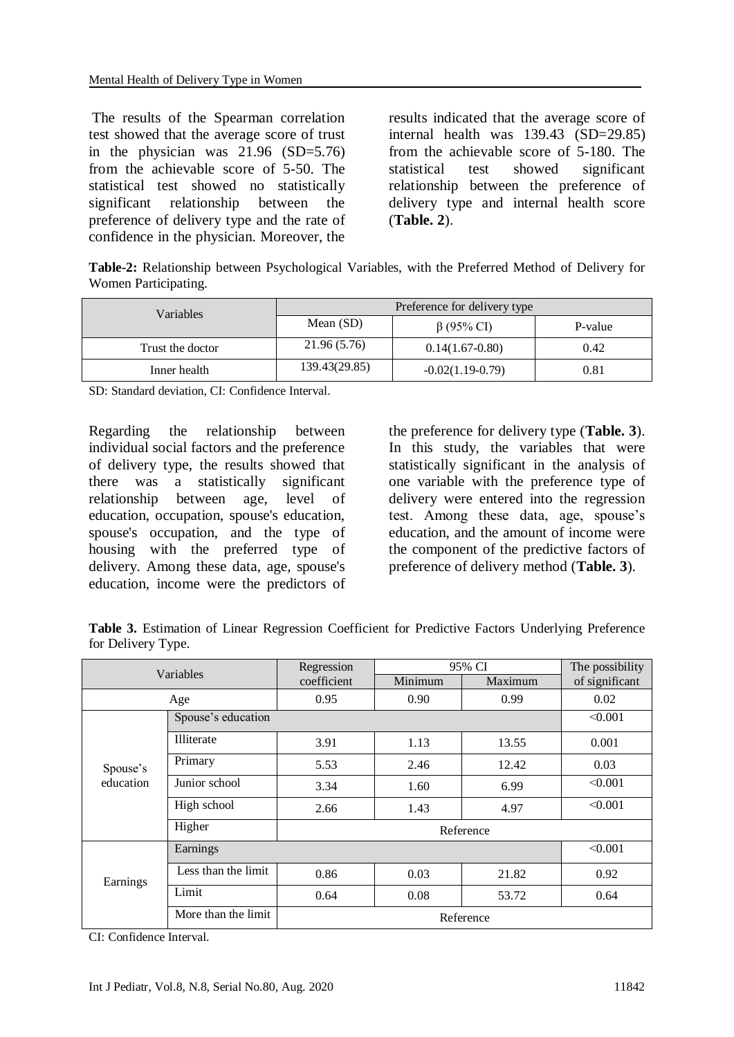The results of the Spearman correlation test showed that the average score of trust in the physician was 21.96 (SD=5.76) from the achievable score of 5-50. The statistical test showed no statistically significant relationship between the preference of delivery type and the rate of confidence in the physician. Moreover, the

results indicated that the average score of internal health was 139.43 (SD=29.85) from the achievable score of 5-180. The statistical test showed significant relationship between the preference of delivery type and internal health score (**Table. 2**).

**Table-2:** Relationship between Psychological Variables, with the Preferred Method of Delivery for Women Participating.

| <b>Variables</b> | Preference for delivery type |                    |         |  |
|------------------|------------------------------|--------------------|---------|--|
|                  | Mean $(SD)$                  | $\beta$ (95% CI)   | P-value |  |
| Trust the doctor | 21.96 (5.76)                 | $0.14(1.67-0.80)$  | 0.42    |  |
| Inner health     | 139.43(29.85)                | $-0.02(1.19-0.79)$ | 0.81    |  |

SD: Standard deviation, CI: Confidence Interval.

Regarding the relationship between individual social factors and the preference of delivery type, the results showed that there was a statistically significant relationship between age, level of education, occupation, spouse's education, spouse's occupation, and the type of housing with the preferred type of delivery. Among these data, age, spouse's education, income were the predictors of

the preference for delivery type (**Table. 3**). In this study, the variables that were statistically significant in the analysis of one variable with the preference type of delivery were entered into the regression test. Among these data, age, spouse's education, and the amount of income were the component of the predictive factors of preference of delivery method (**Table. 3**).

**Table 3.** Estimation of Linear Regression Coefficient for Predictive Factors Underlying Preference for Delivery Type.

| Variables             |                     | Regression  | 95% CI  |         | The possibility |
|-----------------------|---------------------|-------------|---------|---------|-----------------|
|                       |                     | coefficient | Minimum | Maximum | of significant  |
| Age                   |                     | 0.95        | 0.90    | 0.99    | 0.02            |
|                       | Spouse's education  |             |         |         | < 0.001         |
| Spouse's<br>education | Illiterate          | 3.91        | 1.13    | 13.55   | 0.001           |
|                       | Primary             | 5.53        | 2.46    | 12.42   | 0.03            |
|                       | Junior school       | 3.34        | 1.60    | 6.99    | < 0.001         |
|                       | High school         | 2.66        | 1.43    | 4.97    | < 0.001         |
|                       | Higher              |             |         |         |                 |
| Earnings              | Earnings            | < 0.001     |         |         |                 |
|                       | Less than the limit | 0.86        | 0.03    | 21.82   | 0.92            |
|                       | Limit               | 0.64        | 0.08    | 53.72   | 0.64            |
|                       | More than the limit |             |         |         |                 |

CI: Confidence Interval.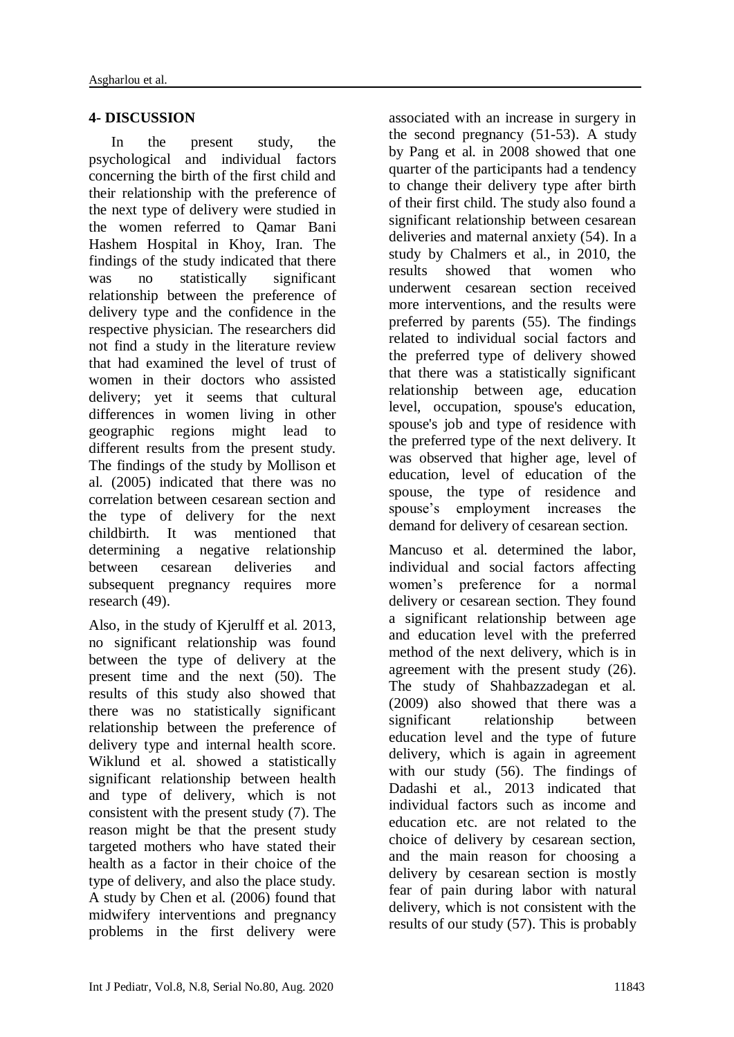# **4- DISCUSSION**

 In the present study, the psychological and individual factors concerning the birth of the first child and their relationship with the preference of the next type of delivery were studied in the women referred to Qamar Bani Hashem Hospital in Khoy, Iran. The findings of the study indicated that there was no statistically significant relationship between the preference of delivery type and the confidence in the respective physician. The researchers did not find a study in the literature review that had examined the level of trust of women in their doctors who assisted delivery; yet it seems that cultural differences in women living in other geographic regions might lead to different results from the present study. The findings of the study by Mollison et al. (2005) indicated that there was no correlation between cesarean section and the type of delivery for the next childbirth. It was mentioned that determining a negative relationship between cesarean deliveries and subsequent pregnancy requires more research (49).

Also, in the study of Kjerulff et al. 2013, no significant relationship was found between the type of delivery at the present time and the next (50). The results of this study also showed that there was no statistically significant relationship between the preference of delivery type and internal health score. Wiklund et al. showed a statistically significant relationship between health and type of delivery, which is not consistent with the present study (7). The reason might be that the present study targeted mothers who have stated their health as a factor in their choice of the type of delivery, and also the place study. A study by Chen et al. (2006) found that midwifery interventions and pregnancy problems in the first delivery were

associated with an increase in surgery in the second pregnancy (51-53). A study by Pang et al. in 2008 showed that one quarter of the participants had a tendency to change their delivery type after birth of their first child. The study also found a significant relationship between cesarean deliveries and maternal anxiety (54). In a study by Chalmers et al., in 2010, the results showed that women who underwent cesarean section received more interventions, and the results were preferred by parents (55). The findings related to individual social factors and the preferred type of delivery showed that there was a statistically significant relationship between age, education level, occupation, spouse's education, spouse's job and type of residence with the preferred type of the next delivery. It was observed that higher age, level of education, level of education of the spouse, the type of residence and spouse's employment increases the demand for delivery of cesarean section.

Mancuso et al. determined the labor, individual and social factors affecting women's preference for a normal delivery or cesarean section. They found a significant relationship between age and education level with the preferred method of the next delivery, which is in agreement with the present study (26). The study of Shahbazzadegan et al. (2009) also showed that there was a significant relationship between education level and the type of future delivery, which is again in agreement with our study (56). The findings of Dadashi et al., 2013 indicated that individual factors such as income and education etc. are not related to the choice of delivery by cesarean section, and the main reason for choosing a delivery by cesarean section is mostly fear of pain during labor with natural delivery, which is not consistent with the results of our study (57). This is probably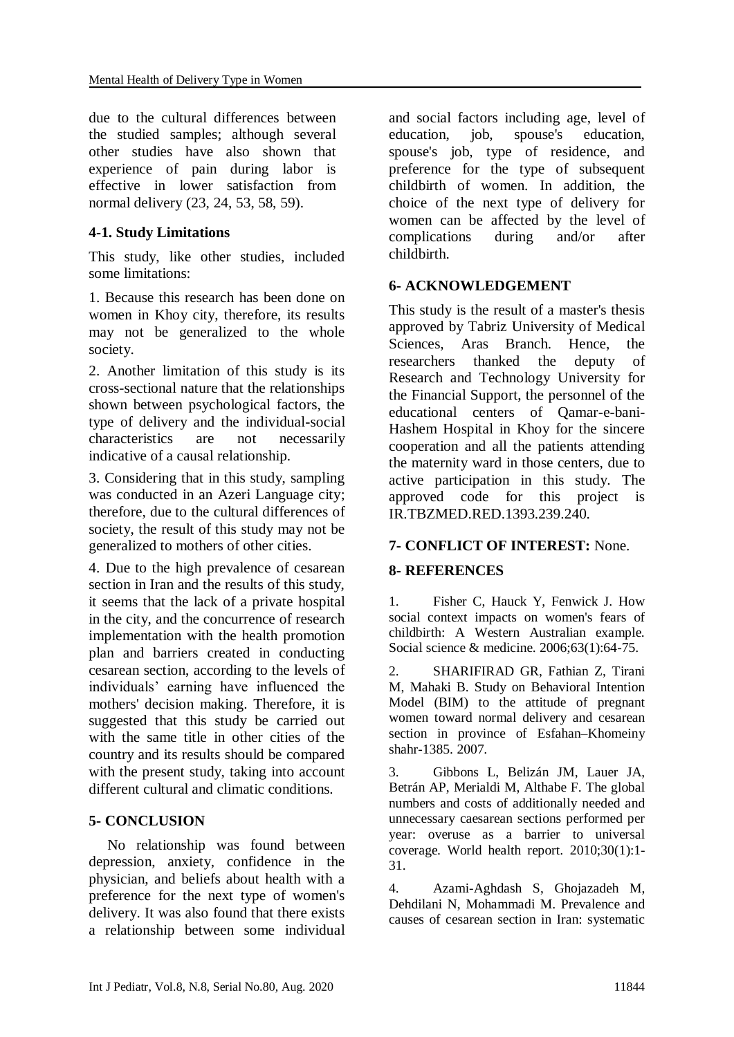due to the cultural differences between the studied samples; although several other studies have also shown that experience of pain during labor is effective in lower satisfaction from normal delivery (23, 24, 53, 58, 59).

# **4-1. Study Limitations**

This study, like other studies, included some limitations:

1. Because this research has been done on women in Khoy city, therefore, its results may not be generalized to the whole society.

2. Another limitation of this study is its cross-sectional nature that the relationships shown between psychological factors, the type of delivery and the individual-social characteristics are not necessarily indicative of a causal relationship.

3. Considering that in this study, sampling was conducted in an Azeri Language city; therefore, due to the cultural differences of society, the result of this study may not be generalized to mothers of other cities.

4. Due to the high prevalence of cesarean section in Iran and the results of this study, it seems that the lack of a private hospital in the city, and the concurrence of research implementation with the health promotion plan and barriers created in conducting cesarean section, according to the levels of individuals' earning have influenced the mothers' decision making. Therefore, it is suggested that this study be carried out with the same title in other cities of the country and its results should be compared with the present study, taking into account different cultural and climatic conditions.

## **5- CONCLUSION**

 No relationship was found between depression, anxiety, confidence in the physician, and beliefs about health with a preference for the next type of women's delivery. It was also found that there exists a relationship between some individual and social factors including age, level of education, job, spouse's education, spouse's job, type of residence, and preference for the type of subsequent childbirth of women. In addition, the choice of the next type of delivery for women can be affected by the level of complications during and/or after childbirth.

### **6- ACKNOWLEDGEMENT**

This study is the result of a master's thesis approved by Tabriz University of Medical Sciences, Aras Branch. Hence, the researchers thanked the deputy of Research and Technology University for the Financial Support, the personnel of the educational centers of Qamar-e-bani-Hashem Hospital in Khoy for the sincere cooperation and all the patients attending the maternity ward in those centers, due to active participation in this study. The approved code for this project is IR.TBZMED.RED.1393.239.240.

## **7- CONFLICT OF INTEREST:** None.

## **8- REFERENCES**

1. Fisher C, Hauck Y, Fenwick J. How social context impacts on women's fears of childbirth: A Western Australian example. Social science & medicine. 2006;63(1):64-75.

2. SHARIFIRAD GR, Fathian Z, Tirani M, Mahaki B. Study on Behavioral Intention Model (BIM) to the attitude of pregnant women toward normal delivery and cesarean section in province of Esfahan–Khomeiny shahr-1385. 2007.

3. Gibbons L, Belizán JM, Lauer JA, Betrán AP, Merialdi M, Althabe F. The global numbers and costs of additionally needed and unnecessary caesarean sections performed per year: overuse as a barrier to universal coverage. World health report. 2010;30(1):1- 31.

4. Azami-Aghdash S, Ghojazadeh M, Dehdilani N, Mohammadi M. Prevalence and causes of cesarean section in Iran: systematic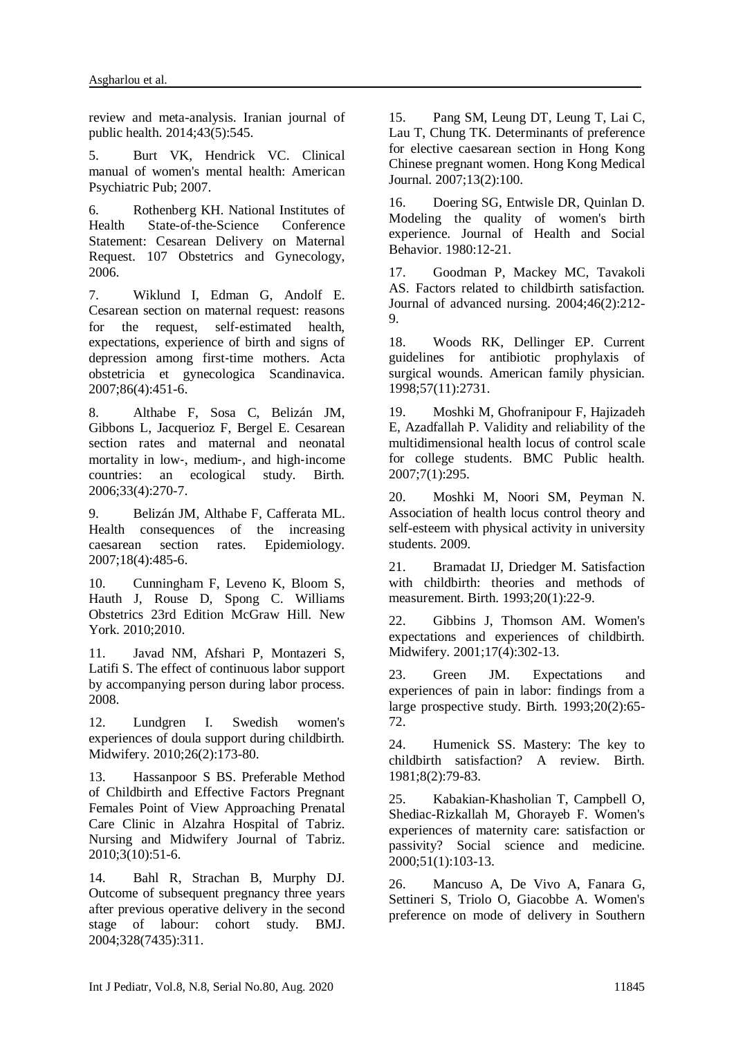review and meta-analysis. Iranian journal of public health. 2014;43(5):545.

5. Burt VK, Hendrick VC. Clinical manual of women's mental health: American Psychiatric Pub; 2007.

6. Rothenberg KH. National Institutes of Health State-of-the-Science Conference Statement: Cesarean Delivery on Maternal Request. 107 Obstetrics and Gynecology, 2006.

7. Wiklund I, Edman G, Andolf E. Cesarean section on maternal request: reasons for the request, self-estimated health, expectations, experience of birth and signs of depression among first‐time mothers. Acta obstetricia et gynecologica Scandinavica. 2007;86(4):451-6.

8. Althabe F, Sosa C, Belizán JM, Gibbons L, Jacquerioz F, Bergel E. Cesarean section rates and maternal and neonatal mortality in low‐, medium‐, and high‐income countries: an ecological study. Birth. 2006;33(4):270-7.

9. Belizán JM, Althabe F, Cafferata ML. Health consequences of the increasing caesarean section rates. Epidemiology. 2007;18(4):485-6.

10. Cunningham F, Leveno K, Bloom S, Hauth J, Rouse D, Spong C. Williams Obstetrics 23rd Edition McGraw Hill. New York. 2010;2010.

11. Javad NM, Afshari P, Montazeri S, Latifi S. The effect of continuous labor support by accompanying person during labor process. 2008.

12. Lundgren I. Swedish women's experiences of doula support during childbirth. Midwifery. 2010;26(2):173-80.

13. Hassanpoor S BS. Preferable Method of Childbirth and Effective Factors Pregnant Females Point of View Approaching Prenatal Care Clinic in Alzahra Hospital of Tabriz. Nursing and Midwifery Journal of Tabriz. 2010;3(10):51-6.

14. Bahl R, Strachan B, Murphy DJ. Outcome of subsequent pregnancy three years after previous operative delivery in the second stage of labour: cohort study. BMJ. 2004;328(7435):311.

15. Pang SM, Leung DT, Leung T, Lai C, Lau T, Chung TK. Determinants of preference for elective caesarean section in Hong Kong Chinese pregnant women. Hong Kong Medical Journal. 2007;13(2):100.

16. Doering SG, Entwisle DR, Quinlan D. Modeling the quality of women's birth experience. Journal of Health and Social Behavior. 1980:12-21.

17. Goodman P, Mackey MC, Tavakoli AS. Factors related to childbirth satisfaction. Journal of advanced nursing. 2004;46(2):212- 9.

18. Woods RK, Dellinger EP. Current guidelines for antibiotic prophylaxis of surgical wounds. American family physician. 1998;57(11):2731.

19. Moshki M, Ghofranipour F, Hajizadeh E, Azadfallah P. Validity and reliability of the multidimensional health locus of control scale for college students. BMC Public health. 2007;7(1):295.

20. Moshki M, Noori SM, Peyman N. Association of health locus control theory and self-esteem with physical activity in university students. 2009.

21. Bramadat IJ, Driedger M. Satisfaction with childbirth: theories and methods of measurement. Birth. 1993;20(1):22-9.

22. Gibbins J, Thomson AM. Women's expectations and experiences of childbirth. Midwifery. 2001;17(4):302-13.

23. Green JM. Expectations and experiences of pain in labor: findings from a large prospective study. Birth. 1993;20(2):65- 72.

24. Humenick SS. Mastery: The key to childbirth satisfaction? A review. Birth. 1981;8(2):79-83.

25. Kabakian-Khasholian T, Campbell O, Shediac-Rizkallah M, Ghorayeb F. Women's experiences of maternity care: satisfaction or passivity? Social science and medicine. 2000;51(1):103-13.

26. Mancuso A, De Vivo A, Fanara G, Settineri S, Triolo O, Giacobbe A. Women's preference on mode of delivery in Southern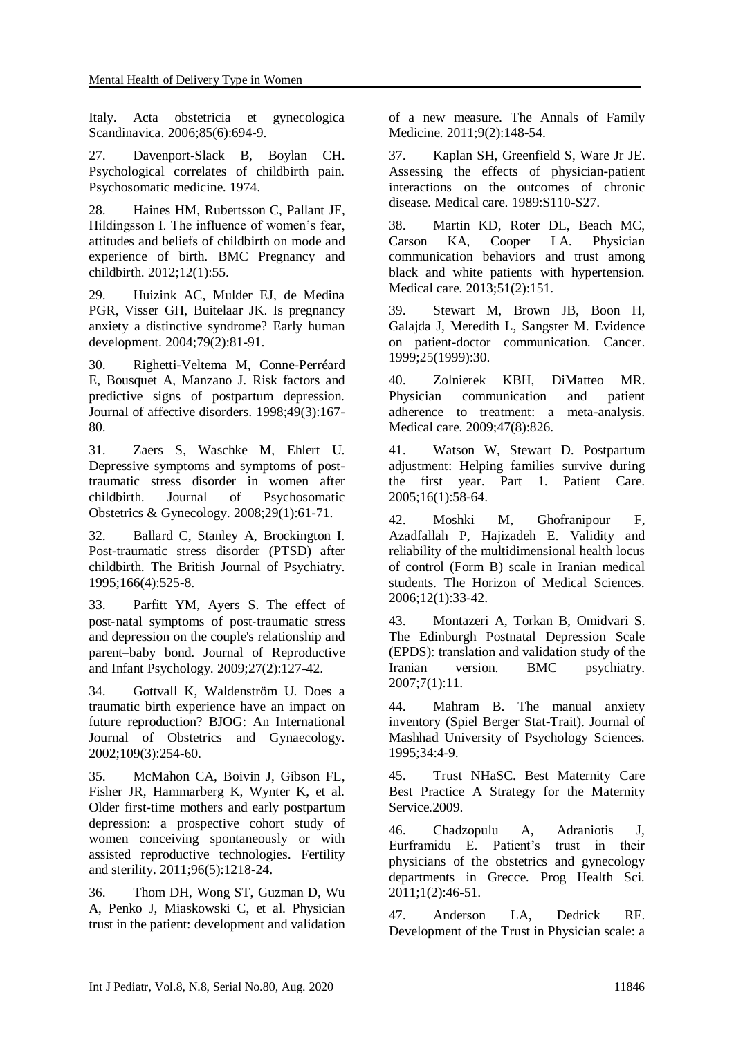Italy. Acta obstetricia et gynecologica Scandinavica. 2006;85(6):694-9.

27. Davenport-Slack B, Boylan CH. Psychological correlates of childbirth pain. Psychosomatic medicine. 1974.

28. Haines HM, Rubertsson C, Pallant JF, Hildingsson I. The influence of women's fear, attitudes and beliefs of childbirth on mode and experience of birth. BMC Pregnancy and childbirth. 2012;12(1):55.

29. Huizink AC, Mulder EJ, de Medina PGR, Visser GH, Buitelaar JK. Is pregnancy anxiety a distinctive syndrome? Early human development. 2004;79(2):81-91.

30. Righetti-Veltema M, Conne-Perréard E, Bousquet A, Manzano J. Risk factors and predictive signs of postpartum depression. Journal of affective disorders. 1998;49(3):167- 80.

31. Zaers S, Waschke M, Ehlert U. Depressive symptoms and symptoms of posttraumatic stress disorder in women after childbirth. Journal of Psychosomatic Obstetrics & Gynecology. 2008;29(1):61-71.

32. Ballard C, Stanley A, Brockington I. Post-traumatic stress disorder (PTSD) after childbirth. The British Journal of Psychiatry. 1995;166(4):525-8.

33. Parfitt YM, Ayers S. The effect of post‐natal symptoms of post‐traumatic stress and depression on the couple's relationship and parent–baby bond. Journal of Reproductive and Infant Psychology. 2009;27(2):127-42.

34. Gottvall K, Waldenström U. Does a traumatic birth experience have an impact on future reproduction? BJOG: An International Journal of Obstetrics and Gynaecology. 2002;109(3):254-60.

35. McMahon CA, Boivin J, Gibson FL, Fisher JR, Hammarberg K, Wynter K, et al. Older first-time mothers and early postpartum depression: a prospective cohort study of women conceiving spontaneously or with assisted reproductive technologies. Fertility and sterility. 2011;96(5):1218-24.

36. Thom DH, Wong ST, Guzman D, Wu A, Penko J, Miaskowski C, et al. Physician trust in the patient: development and validation of a new measure. The Annals of Family Medicine. 2011;9(2):148-54.

37. Kaplan SH, Greenfield S, Ware Jr JE. Assessing the effects of physician-patient interactions on the outcomes of chronic disease. Medical care. 1989:S110-S27.

38. Martin KD, Roter DL, Beach MC, Carson KA, Cooper LA. Physician communication behaviors and trust among black and white patients with hypertension. Medical care. 2013;51(2):151.

39. Stewart M, Brown JB, Boon H, Galajda J, Meredith L, Sangster M. Evidence on patient-doctor communication. Cancer. 1999;25(1999):30.

40. Zolnierek KBH, DiMatteo MR. Physician communication and patient adherence to treatment: a meta-analysis. Medical care. 2009;47(8):826.

41. Watson W, Stewart D. Postpartum adjustment: Helping families survive during the first year. Part 1. Patient Care. 2005;16(1):58-64.

42. Moshki M, Ghofranipour F, Azadfallah P, Hajizadeh E. Validity and reliability of the multidimensional health locus of control (Form B) scale in Iranian medical students. The Horizon of Medical Sciences. 2006;12(1):33-42.

43. Montazeri A, Torkan B, Omidvari S. The Edinburgh Postnatal Depression Scale (EPDS): translation and validation study of the Iranian version. BMC psychiatry. 2007;7(1):11.

44. Mahram B. The manual anxiety inventory (Spiel Berger Stat-Trait). Journal of Mashhad University of Psychology Sciences. 1995;34:4-9.

45. Trust NHaSC. Best Maternity Care Best Practice A Strategy for the Maternity Service.2009.

46. Chadzopulu A, Adraniotis J, Eurframidu E. Patient's trust in their physicians of the obstetrics and gynecology departments in Grecce. Prog Health Sci. 2011;1(2):46-51.

47. Anderson LA, Dedrick RF. Development of the Trust in Physician scale: a